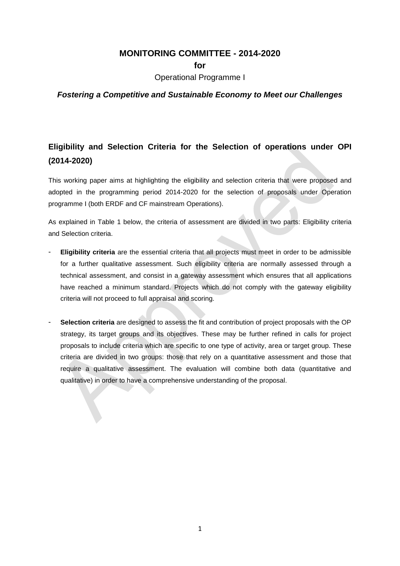# **MONITORING COMMITTEE - 2014-2020**

**for** 

Operational Programme I

### *Fostering a Competitive and Sustainable Economy to Meet our Challenges*

# **Eligibility and Selection Criteria for the Selection of operations under OPI (2014-2020)**

This working paper aims at highlighting the eligibility and selection criteria that were proposed and adopted in the programming period 2014-2020 for the selection of proposals under Operation programme I (both ERDF and CF mainstream Operations).

As explained in Table 1 below, the criteria of assessment are divided in two parts: Eligibility criteria and Selection criteria.

- **Eligibility criteria** are the essential criteria that all projects must meet in order to be admissible for a further qualitative assessment. Such eligibility criteria are normally assessed through a technical assessment, and consist in a gateway assessment which ensures that all applications have reached a minimum standard. Projects which do not comply with the gateway eligibility criteria will not proceed to full appraisal and scoring.
- **Selection criteria** are designed to assess the fit and contribution of project proposals with the OP strategy, its target groups and its objectives. These may be further refined in calls for project proposals to include criteria which are specific to one type of activity, area or target group. These criteria are divided in two groups: those that rely on a quantitative assessment and those that require a qualitative assessment. The evaluation will combine both data (quantitative and qualitative) in order to have a comprehensive understanding of the proposal.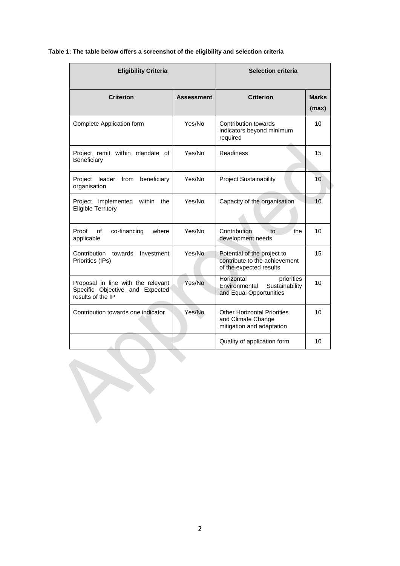#### **Table 1: The table below offers a screenshot of the eligibility and selection criteria**

| <b>Eligibility Criteria</b>                                                                |                   | <b>Selection criteria</b>                                                               |                       |
|--------------------------------------------------------------------------------------------|-------------------|-----------------------------------------------------------------------------------------|-----------------------|
| <b>Criterion</b>                                                                           | <b>Assessment</b> | <b>Criterion</b>                                                                        | <b>Marks</b><br>(max) |
| Complete Application form                                                                  | Yes/No            | Contribution towards<br>indicators beyond minimum<br>required                           | 10                    |
| Project remit within mandate of<br>Beneficiary                                             | Yes/No            | <b>Readiness</b>                                                                        | 15                    |
| leader from<br>beneficiary<br>Project<br>organisation                                      | Yes/No            | <b>Project Sustainability</b>                                                           | 10                    |
| Project implemented<br>within<br>the<br><b>Eligible Territory</b>                          | Yes/No            | Capacity of the organisation                                                            | 10                    |
| Proof<br>co-financing<br>οf<br>where<br>applicable                                         | Yes/No            | Contribution<br>to<br>the<br>development needs                                          | 10                    |
| Contribution<br>towards<br>Investment<br>Priorities (IPs)                                  | Yes/No            | Potential of the project to<br>contribute to the achievement<br>of the expected results | 15                    |
| Proposal in line with the relevant<br>Specific Objective and Expected<br>results of the IP | Yes/No            | Horizontal<br>priorities<br>Sustainability<br>Environmental<br>and Equal Opportunities  | 10                    |
| Contribution towards one indicator                                                         | Yes/No            | <b>Other Horizontal Priorities</b><br>and Climate Change<br>mitigation and adaptation   | 10                    |
|                                                                                            |                   | Quality of application form                                                             | 10                    |
|                                                                                            |                   |                                                                                         |                       |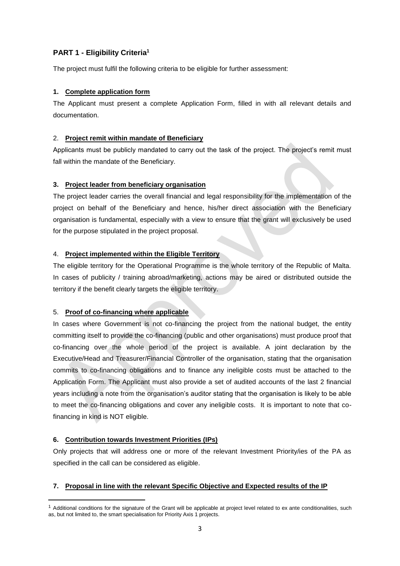# **PART 1 - Eligibility Criteria<sup>1</sup>**

The project must fulfil the following criteria to be eligible for further assessment:

### **1. Complete application form**

The Applicant must present a complete Application Form, filled in with all relevant details and documentation.

### 2. **Project remit within mandate of Beneficiary**

Applicants must be publicly mandated to carry out the task of the project. The project's remit must fall within the mandate of the Beneficiary.

#### **3. Project leader from beneficiary organisation**

The project leader carries the overall financial and legal responsibility for the implementation of the project on behalf of the Beneficiary and hence, his/her direct association with the Beneficiary organisation is fundamental, especially with a view to ensure that the grant will exclusively be used for the purpose stipulated in the project proposal.

#### 4. **Project implemented within the Eligible Territory**

The eligible territory for the Operational Programme is the whole territory of the Republic of Malta. In cases of publicity / training abroad/marketing, actions may be aired or distributed outside the territory if the benefit clearly targets the eligible territory.

### 5. **Proof of co-financing where applicable**

In cases where Government is not co-financing the project from the national budget, the entity committing itself to provide the co-financing (public and other organisations) must produce proof that co-financing over the whole period of the project is available. A joint declaration by the Executive/Head and Treasurer/Financial Controller of the organisation, stating that the organisation commits to co-financing obligations and to finance any ineligible costs must be attached to the Application Form. The Applicant must also provide a set of audited accounts of the last 2 financial years including a note from the organisation's auditor stating that the organisation is likely to be able to meet the co-financing obligations and cover any ineligible costs. It is important to note that cofinancing in kind is NOT eligible.

### **6. Contribution towards Investment Priorities (IPs)**

**.** 

Only projects that will address one or more of the relevant Investment Priority/ies of the PA as specified in the call can be considered as eligible.

### **7. Proposal in line with the relevant Specific Objective and Expected results of the IP**

<sup>&</sup>lt;sup>1</sup> Additional conditions for the signature of the Grant will be applicable at project level related to ex ante conditionalities, such as, but not limited to, the smart specialisation for Priority Axis 1 projects.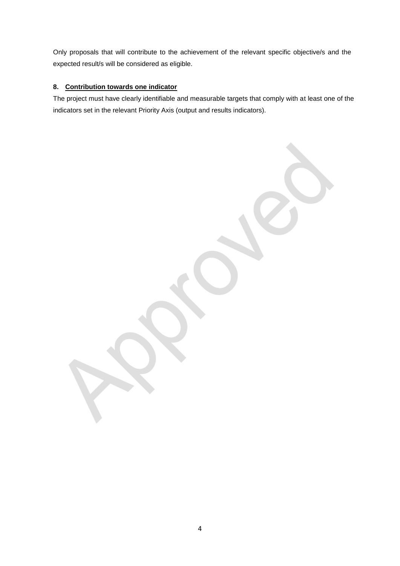Only proposals that will contribute to the achievement of the relevant specific objective/s and the expected result/s will be considered as eligible.

### **8. Contribution towards one indicator**

The project must have clearly identifiable and measurable targets that comply with at least one of the indicators set in the relevant Priority Axis (output and results indicators).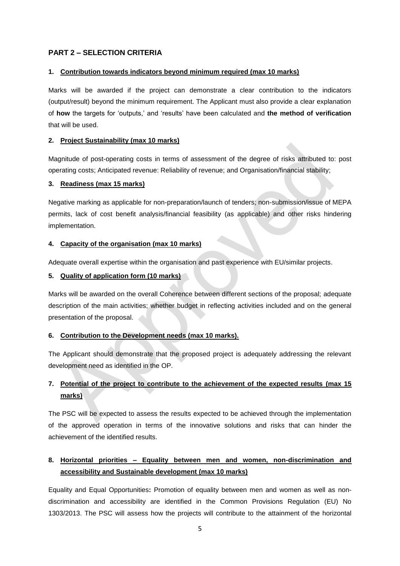### **PART 2 – SELECTION CRITERIA**

#### **1. Contribution towards indicators beyond minimum required (max 10 marks)**

Marks will be awarded if the project can demonstrate a clear contribution to the indicators (output/result) beyond the minimum requirement. The Applicant must also provide a clear explanation of **how** the targets for 'outputs,' and 'results' have been calculated and **the method of verification**  that will be used.

#### **2. Project Sustainability (max 10 marks)**

Magnitude of post-operating costs in terms of assessment of the degree of risks attributed to: post operating costs; Anticipated revenue: Reliability of revenue; and Organisation/financial stability;

#### **3. Readiness (max 15 marks)**

Negative marking as applicable for non-preparation/launch of tenders; non-submission/issue of MEPA permits, lack of cost benefit analysis/financial feasibility (as applicable) and other risks hindering implementation.

#### **4. Capacity of the organisation (max 10 marks)**

Adequate overall expertise within the organisation and past experience with EU/similar projects.

#### **5. Quality of application form (10 marks)**

Marks will be awarded on the overall Coherence between different sections of the proposal; adequate description of the main activities; whether budget in reflecting activities included and on the general presentation of the proposal.

#### **6. Contribution to the Development needs (max 10 marks).**

The Applicant should demonstrate that the proposed project is adequately addressing the relevant development need as identified in the OP.

# **7. Potential of the project to contribute to the achievement of the expected results (max 15 marks)**

The PSC will be expected to assess the results expected to be achieved through the implementation of the approved operation in terms of the innovative solutions and risks that can hinder the achievement of the identified results.

# **8. Horizontal priorities – Equality between men and women, non-discrimination and accessibility and Sustainable development (max 10 marks)**

Equality and Equal Opportunities**:** Promotion of equality between men and women as well as nondiscrimination and accessibility are identified in the Common Provisions Regulation (EU) No 1303/2013. The PSC will assess how the projects will contribute to the attainment of the horizontal